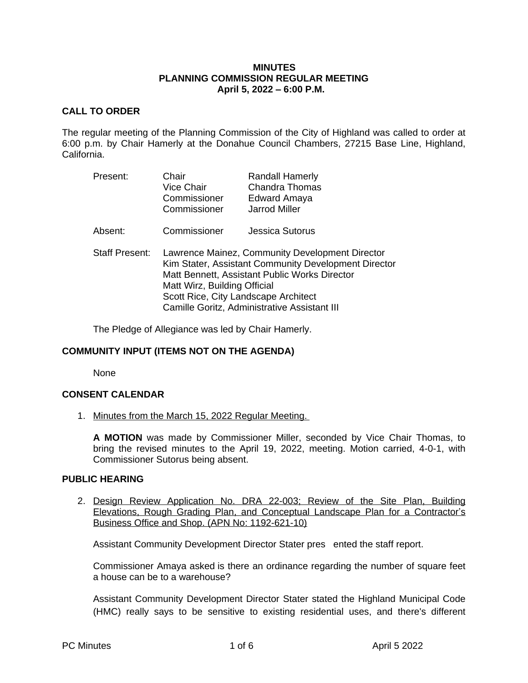#### **MINUTES PLANNING COMMISSION REGULAR MEETING April 5, 2022 – 6:00 P.M.**

## **CALL TO ORDER**

The regular meeting of the Planning Commission of the City of Highland was called to order at 6:00 p.m. by Chair Hamerly at the Donahue Council Chambers, 27215 Base Line, Highland, California.

| Present:              | Chair<br><b>Vice Chair</b><br>Commissioner<br>Commissioner                                                                                                                               | <b>Randall Hamerly</b><br><b>Chandra Thomas</b><br>Edward Amaya<br><b>Jarrod Miller</b> |
|-----------------------|------------------------------------------------------------------------------------------------------------------------------------------------------------------------------------------|-----------------------------------------------------------------------------------------|
| Absent:               | Commissioner                                                                                                                                                                             | <b>Jessica Sutorus</b>                                                                  |
| <b>Staff Present:</b> | Lawrence Mainez, Community Development Director<br>Kim Stater, Assistant Community Development Director<br>Matt Bennett, Assistant Public Works Director<br>Matt Wirz, Building Official |                                                                                         |

Scott Rice, City Landscape Architect Camille Goritz, Administrative Assistant III

The Pledge of Allegiance was led by Chair Hamerly.

# **COMMUNITY INPUT (ITEMS NOT ON THE AGENDA)**

None

## **CONSENT CALENDAR**

1. Minutes from the March 15, 2022 Regular Meeting.

**A MOTION** was made by Commissioner Miller, seconded by Vice Chair Thomas, to bring the revised minutes to the April 19, 2022, meeting. Motion carried, 4-0-1, with Commissioner Sutorus being absent.

## **PUBLIC HEARING**

2. Design Review Application No. DRA 22-003; Review of the Site Plan, Building Elevations, Rough Grading Plan, and Conceptual Landscape Plan for a Contractor's Business Office and Shop. (APN No: 1192-621-10)

Assistant Community Development Director Stater pres ented the staff report.

Commissioner Amaya asked is there an ordinance regarding the number of square feet a house can be to a warehouse?

Assistant Community Development Director Stater stated the Highland Municipal Code (HMC) really says to be sensitive to existing residential uses, and there's different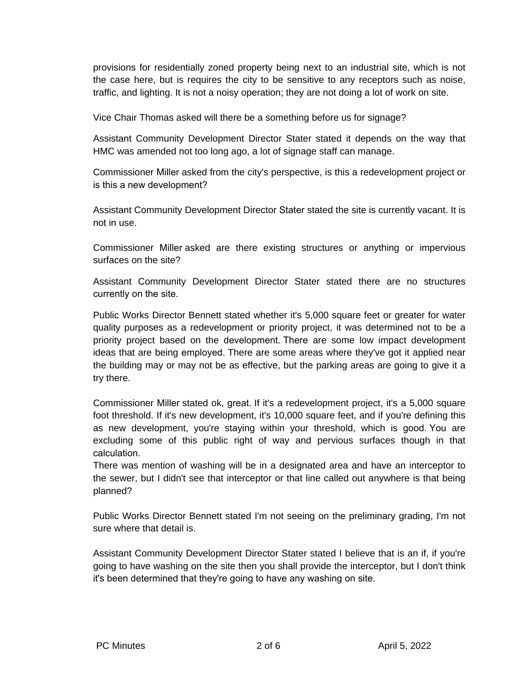provisions for residentially zoned property being next to an industrial site, which is not the case here, but is requires the city to be sensitive to any receptors such as noise, traffic, and lighting. It is not a noisy operation; they are not doing a lot of work on site.

Vice Chair Thomas asked will there be a something before us for signage?

Assistant Community Development Director Stater stated it depends on the way that HMC was amended not too long ago, a lot of signage staff can manage.

Commissioner Miller asked from the city's perspective, is this a redevelopment project or is this a new development?

Assistant Community Development Director Stater stated the site is currently vacant. It is not in use.

Commissioner Miller asked are there existing structures or anything or impervious surfaces on the site?

Assistant Community Development Director Stater stated there are no structures currently on the site.

Public Works Director Bennett stated whether it's 5,000 square feet or greater for water quality purposes as a redevelopment or priority project, it was determined not to be a priority project based on the development. There are some low impact development ideas that are being employed. There are some areas where they've got it applied near the building may or may not be as effective, but the parking areas are going to give it a try there.

Commissioner Miller stated ok, great. If it's a redevelopment project, it's a 5,000 square foot threshold. If it's new development, it's 10,000 square feet, and if you're defining this as new development, you're staying within your threshold, which is good. You are excluding some of this public right of way and pervious surfaces though in that calculation.

There was mention of washing will be in a designated area and have an interceptor to the sewer, but I didn't see that interceptor or that line called out anywhere is that being planned?

Public Works Director Bennett stated I'm not seeing on the preliminary grading, I'm not sure where that detail is.

Assistant Community Development Director Stater stated I believe that is an if, if you're going to have washing on the site then you shall provide the interceptor, but I don't think it's been determined that they're going to have any washing on site.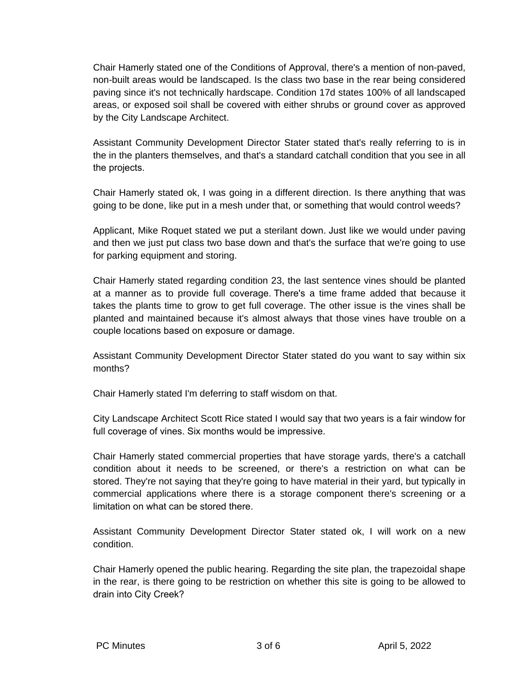Chair Hamerly stated one of the Conditions of Approval, there's a mention of non-paved, non-built areas would be landscaped. Is the class two base in the rear being considered paving since it's not technically hardscape. Condition 17d states 100% of all landscaped areas, or exposed soil shall be covered with either shrubs or ground cover as approved by the City Landscape Architect.

Assistant Community Development Director Stater stated that's really referring to is in the in the planters themselves, and that's a standard catchall condition that you see in all the projects.

Chair Hamerly stated ok, I was going in a different direction. Is there anything that was going to be done, like put in a mesh under that, or something that would control weeds?

Applicant, Mike Roquet stated we put a sterilant down. Just like we would under paving and then we just put class two base down and that's the surface that we're going to use for parking equipment and storing.

Chair Hamerly stated regarding condition 23, the last sentence vines should be planted at a manner as to provide full coverage. There's a time frame added that because it takes the plants time to grow to get full coverage. The other issue is the vines shall be planted and maintained because it's almost always that those vines have trouble on a couple locations based on exposure or damage.

Assistant Community Development Director Stater stated do you want to say within six months?

Chair Hamerly stated I'm deferring to staff wisdom on that.

City Landscape Architect Scott Rice stated I would say that two years is a fair window for full coverage of vines. Six months would be impressive.

Chair Hamerly stated commercial properties that have storage yards, there's a catchall condition about it needs to be screened, or there's a restriction on what can be stored. They're not saying that they're going to have material in their yard, but typically in commercial applications where there is a storage component there's screening or a limitation on what can be stored there.

Assistant Community Development Director Stater stated ok, I will work on a new condition.

Chair Hamerly opened the public hearing. Regarding the site plan, the trapezoidal shape in the rear, is there going to be restriction on whether this site is going to be allowed to drain into City Creek?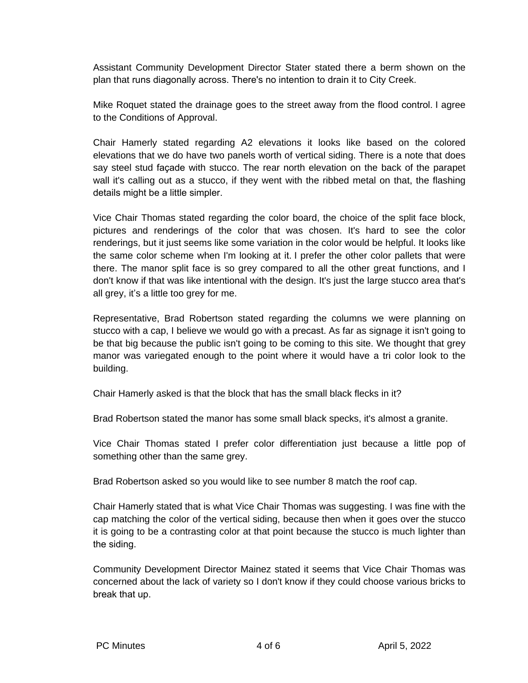Assistant Community Development Director Stater stated there a berm shown on the plan that runs diagonally across. There's no intention to drain it to City Creek.

Mike Roquet stated the drainage goes to the street away from the flood control. I agree to the Conditions of Approval.

Chair Hamerly stated regarding A2 elevations it looks like based on the colored elevations that we do have two panels worth of vertical siding. There is a note that does say steel stud façade with stucco. The rear north elevation on the back of the parapet wall it's calling out as a stucco, if they went with the ribbed metal on that, the flashing details might be a little simpler.

Vice Chair Thomas stated regarding the color board, the choice of the split face block, pictures and renderings of the color that was chosen. It's hard to see the color renderings, but it just seems like some variation in the color would be helpful. It looks like the same color scheme when I'm looking at it. I prefer the other color pallets that were there. The manor split face is so grey compared to all the other great functions, and I don't know if that was like intentional with the design. It's just the large stucco area that's all grey, it's a little too grey for me.

Representative, Brad Robertson stated regarding the columns we were planning on stucco with a cap, I believe we would go with a precast. As far as signage it isn't going to be that big because the public isn't going to be coming to this site. We thought that grey manor was variegated enough to the point where it would have a tri color look to the building.

Chair Hamerly asked is that the block that has the small black flecks in it?

Brad Robertson stated the manor has some small black specks, it's almost a granite.

Vice Chair Thomas stated I prefer color differentiation just because a little pop of something other than the same grey.

Brad Robertson asked so you would like to see number 8 match the roof cap.

Chair Hamerly stated that is what Vice Chair Thomas was suggesting. I was fine with the cap matching the color of the vertical siding, because then when it goes over the stucco it is going to be a contrasting color at that point because the stucco is much lighter than the siding.

Community Development Director Mainez stated it seems that Vice Chair Thomas was concerned about the lack of variety so I don't know if they could choose various bricks to break that up.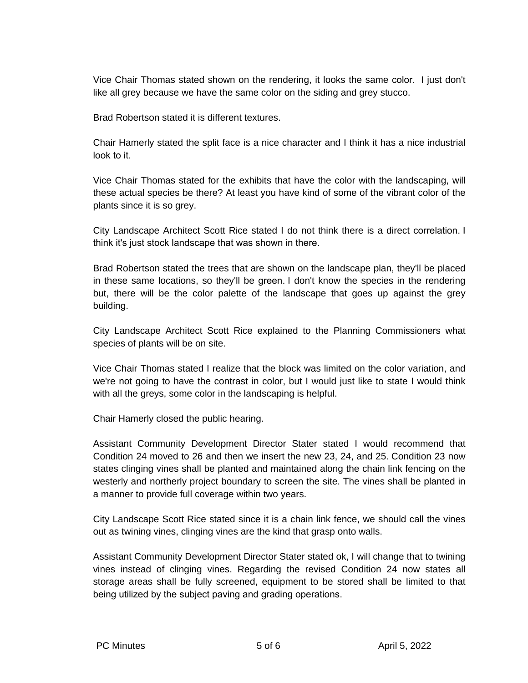Vice Chair Thomas stated shown on the rendering, it looks the same color. I just don't like all grey because we have the same color on the siding and grey stucco.

Brad Robertson stated it is different textures.

Chair Hamerly stated the split face is a nice character and I think it has a nice industrial look to it.

Vice Chair Thomas stated for the exhibits that have the color with the landscaping, will these actual species be there? At least you have kind of some of the vibrant color of the plants since it is so grey.

City Landscape Architect Scott Rice stated I do not think there is a direct correlation. I think it's just stock landscape that was shown in there.

Brad Robertson stated the trees that are shown on the landscape plan, they'll be placed in these same locations, so they'll be green. I don't know the species in the rendering but, there will be the color palette of the landscape that goes up against the grey building.

City Landscape Architect Scott Rice explained to the Planning Commissioners what species of plants will be on site.

Vice Chair Thomas stated I realize that the block was limited on the color variation, and we're not going to have the contrast in color, but I would just like to state I would think with all the greys, some color in the landscaping is helpful.

Chair Hamerly closed the public hearing.

Assistant Community Development Director Stater stated I would recommend that Condition 24 moved to 26 and then we insert the new 23, 24, and 25. Condition 23 now states clinging vines shall be planted and maintained along the chain link fencing on the westerly and northerly project boundary to screen the site. The vines shall be planted in a manner to provide full coverage within two years.

City Landscape Scott Rice stated since it is a chain link fence, we should call the vines out as twining vines, clinging vines are the kind that grasp onto walls.

Assistant Community Development Director Stater stated ok, I will change that to twining vines instead of clinging vines. Regarding the revised Condition 24 now states all storage areas shall be fully screened, equipment to be stored shall be limited to that being utilized by the subject paving and grading operations.